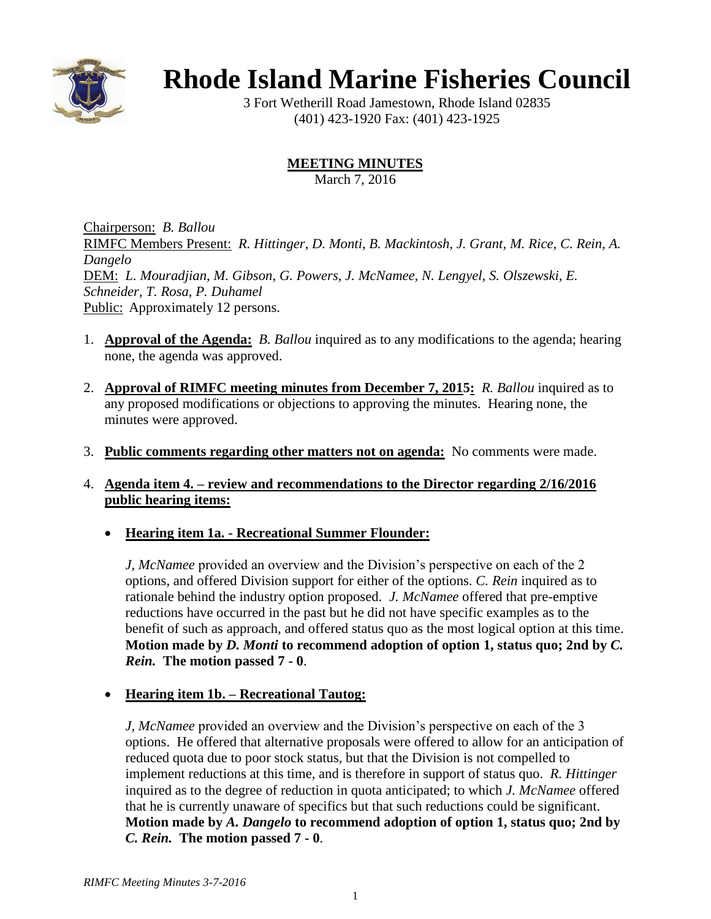

# **Rhode Island Marine Fisheries Council**

3 Fort Wetherill Road Jamestown, Rhode Island 02835 (401) 423-1920 Fax: (401) 423-1925

# **MEETING MINUTES**

March 7, 2016

Chairperson: *B. Ballou* RIMFC Members Present: *R. Hittinger, D. Monti, B. Mackintosh, J. Grant, M. Rice, C. Rein, A. Dangelo* DEM: *L. Mouradjian, M. Gibson, G. Powers, J. McNamee, N. Lengyel, S. Olszewski, E. Schneider, T. Rosa, P. Duhamel* Public: Approximately 12 persons.

- 1. **Approval of the Agenda:** *B. Ballou* inquired as to any modifications to the agenda; hearing none, the agenda was approved.
- 2. **Approval of RIMFC meeting minutes from December 7, 2015:** *R. Ballou* inquired as to any proposed modifications or objections to approving the minutes. Hearing none, the minutes were approved.
- 3. **Public comments regarding other matters not on agenda:** No comments were made.

### 4. **Agenda item 4. – review and recommendations to the Director regarding 2/16/2016 public hearing items:**

**Hearing item 1a. - Recreational Summer Flounder:**

*J, McNamee* provided an overview and the Division's perspective on each of the 2 options, and offered Division support for either of the options. *C. Rein* inquired as to rationale behind the industry option proposed. *J. McNamee* offered that pre-emptive reductions have occurred in the past but he did not have specific examples as to the benefit of such as approach, and offered status quo as the most logical option at this time. **Motion made by** *D. Monti* **to recommend adoption of option 1, status quo; 2nd by** *C. Rein.* **The motion passed 7 - 0**.

# **Hearing item 1b. – Recreational Tautog:**

*J, McNamee* provided an overview and the Division's perspective on each of the 3 options. He offered that alternative proposals were offered to allow for an anticipation of reduced quota due to poor stock status, but that the Division is not compelled to implement reductions at this time, and is therefore in support of status quo. *R. Hittinger* inquired as to the degree of reduction in quota anticipated; to which *J. McNamee* offered that he is currently unaware of specifics but that such reductions could be significant. **Motion made by** *A. Dangelo* **to recommend adoption of option 1, status quo; 2nd by** *C. Rein.* **The motion passed 7 - 0**.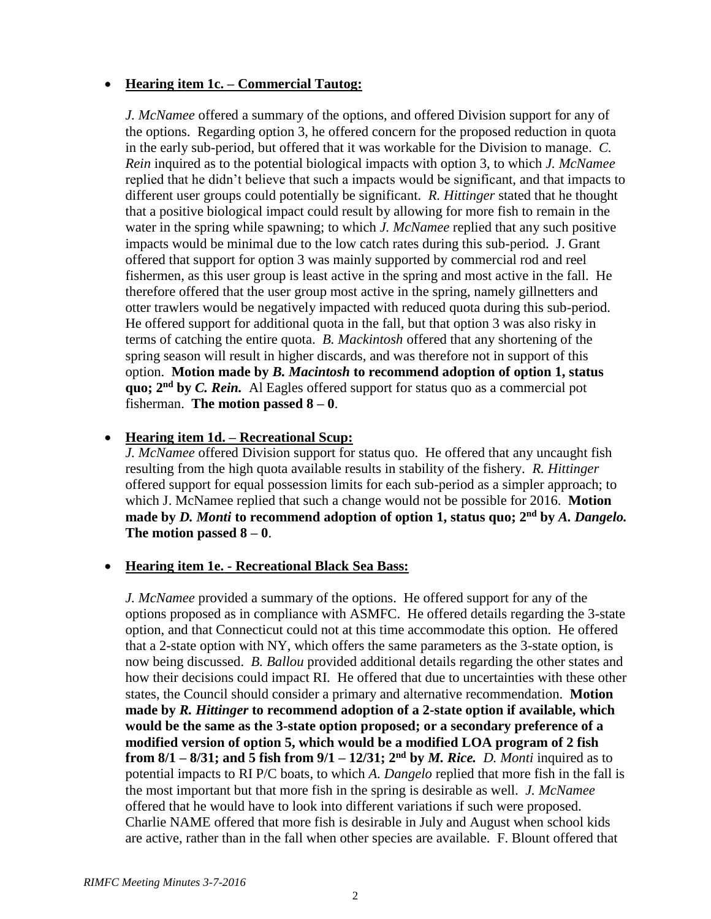### **Hearing item 1c. – Commercial Tautog:**

*J. McNamee* offered a summary of the options, and offered Division support for any of the options. Regarding option 3, he offered concern for the proposed reduction in quota in the early sub-period, but offered that it was workable for the Division to manage. *C. Rein* inquired as to the potential biological impacts with option 3, to which *J. McNamee* replied that he didn't believe that such a impacts would be significant, and that impacts to different user groups could potentially be significant. *R. Hittinger* stated that he thought that a positive biological impact could result by allowing for more fish to remain in the water in the spring while spawning; to which *J. McNamee* replied that any such positive impacts would be minimal due to the low catch rates during this sub-period. J. Grant offered that support for option 3 was mainly supported by commercial rod and reel fishermen, as this user group is least active in the spring and most active in the fall. He therefore offered that the user group most active in the spring, namely gillnetters and otter trawlers would be negatively impacted with reduced quota during this sub-period. He offered support for additional quota in the fall, but that option 3 was also risky in terms of catching the entire quota. *B. Mackintosh* offered that any shortening of the spring season will result in higher discards, and was therefore not in support of this option. **Motion made by** *B. Macintosh* **to recommend adoption of option 1, status quo; 2nd by** *C. Rein.* Al Eagles offered support for status quo as a commercial pot fisherman. **The motion passed 8 – 0**.

### **Hearing item 1d. – Recreational Scup:**

*J. McNamee* offered Division support for status quo. He offered that any uncaught fish resulting from the high quota available results in stability of the fishery. *R. Hittinger* offered support for equal possession limits for each sub-period as a simpler approach; to which J. McNamee replied that such a change would not be possible for 2016. **Motion made by** *D. Monti* **to recommend adoption of option 1, status quo; 2nd by** *A. Dangelo.*  **The motion passed 8 – 0**.

#### **Hearing item 1e. - Recreational Black Sea Bass:**

*J. McNamee* provided a summary of the options. He offered support for any of the options proposed as in compliance with ASMFC. He offered details regarding the 3-state option, and that Connecticut could not at this time accommodate this option. He offered that a 2-state option with NY, which offers the same parameters as the 3-state option, is now being discussed. *B. Ballou* provided additional details regarding the other states and how their decisions could impact RI. He offered that due to uncertainties with these other states, the Council should consider a primary and alternative recommendation. **Motion made by** *R. Hittinger* **to recommend adoption of a 2-state option if available, which would be the same as the 3-state option proposed; or a secondary preference of a modified version of option 5, which would be a modified LOA program of 2 fish from 8/1 – 8/31; and 5 fish from**  $9/1 - 12/31$ **;**  $2<sup>nd</sup>$  **by** *M. Rice. D. Monti* **inquired as to** potential impacts to RI P/C boats, to which *A. Dangelo* replied that more fish in the fall is the most important but that more fish in the spring is desirable as well. *J. McNamee* offered that he would have to look into different variations if such were proposed. Charlie NAME offered that more fish is desirable in July and August when school kids are active, rather than in the fall when other species are available. F. Blount offered that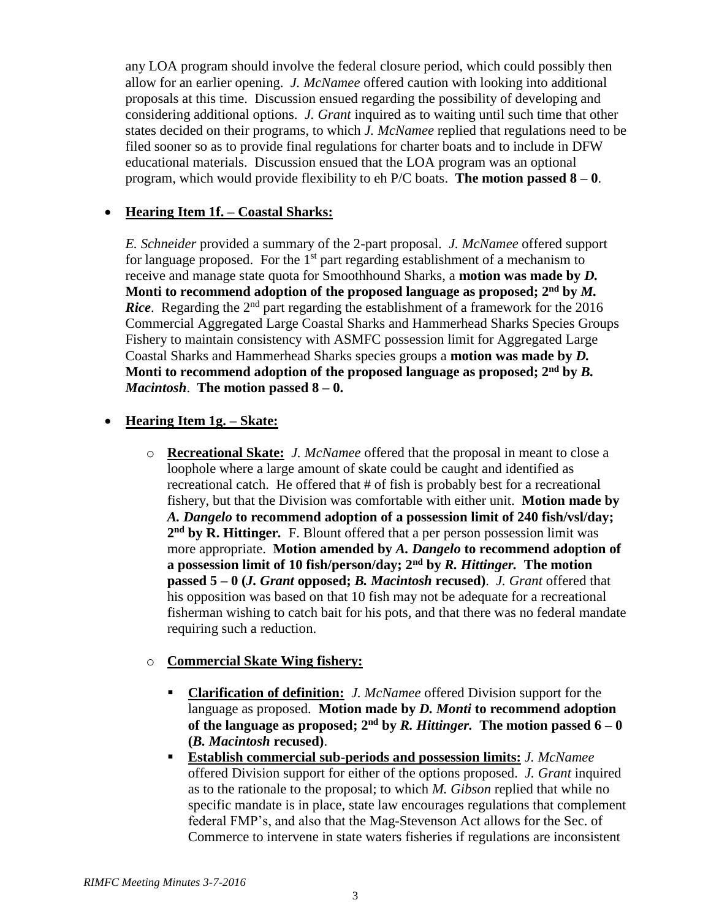any LOA program should involve the federal closure period, which could possibly then allow for an earlier opening. *J. McNamee* offered caution with looking into additional proposals at this time. Discussion ensued regarding the possibility of developing and considering additional options. *J. Grant* inquired as to waiting until such time that other states decided on their programs, to which *J. McNamee* replied that regulations need to be filed sooner so as to provide final regulations for charter boats and to include in DFW educational materials. Discussion ensued that the LOA program was an optional program, which would provide flexibility to eh P/C boats. **The motion passed 8 – 0**.

#### **Hearing Item 1f. – Coastal Sharks:**

*E. Schneider* provided a summary of the 2-part proposal. *J. McNamee* offered support for language proposed. For the  $1<sup>st</sup>$  part regarding establishment of a mechanism to receive and manage state quota for Smoothhound Sharks, a **motion was made by** *D.*  Monti to recommend adoption of the proposed language as proposed;  $2<sup>nd</sup>$  by  $M$ . *Rice*. Regarding the 2<sup>nd</sup> part regarding the establishment of a framework for the 2016 Commercial Aggregated Large Coastal Sharks and Hammerhead Sharks Species Groups Fishery to maintain consistency with ASMFC possession limit for Aggregated Large Coastal Sharks and Hammerhead Sharks species groups a **motion was made by** *D.*  **Monti to recommend adoption of the proposed language as proposed; 2nd by** *B. Macintosh*. **The motion passed 8 – 0.** 

### **Hearing Item 1g. – Skate:**

o **Recreational Skate:** *J. McNamee* offered that the proposal in meant to close a loophole where a large amount of skate could be caught and identified as recreational catch. He offered that # of fish is probably best for a recreational fishery, but that the Division was comfortable with either unit. **Motion made by**  *A. Dangelo* **to recommend adoption of a possession limit of 240 fish/vsl/day; 2 nd by R. Hittinger***.* F. Blount offered that a per person possession limit was more appropriate. **Motion amended by** *A. Dangelo* **to recommend adoption of a possession limit of 10 fish/person/day; 2nd by** *R. Hittinger.* **The motion passed 5 – 0 (***J. Grant* **opposed;** *B. Macintosh* **recused)**. *J. Grant* offered that his opposition was based on that 10 fish may not be adequate for a recreational fisherman wishing to catch bait for his pots, and that there was no federal mandate requiring such a reduction.

### o **Commercial Skate Wing fishery:**

- **Clarification of definition:** *J. McNamee* offered Division support for the language as proposed. **Motion made by** *D. Monti* **to recommend adoption of the language as proposed;**  $2^{nd}$  by  $R$ . Hittinger. The motion passed  $6 - 0$ **(***B. Macintosh* **recused)**.
- **Establish commercial sub-periods and possession limits:** *J. McNamee* offered Division support for either of the options proposed. *J. Grant* inquired as to the rationale to the proposal; to which *M. Gibson* replied that while no specific mandate is in place, state law encourages regulations that complement federal FMP's, and also that the Mag-Stevenson Act allows for the Sec. of Commerce to intervene in state waters fisheries if regulations are inconsistent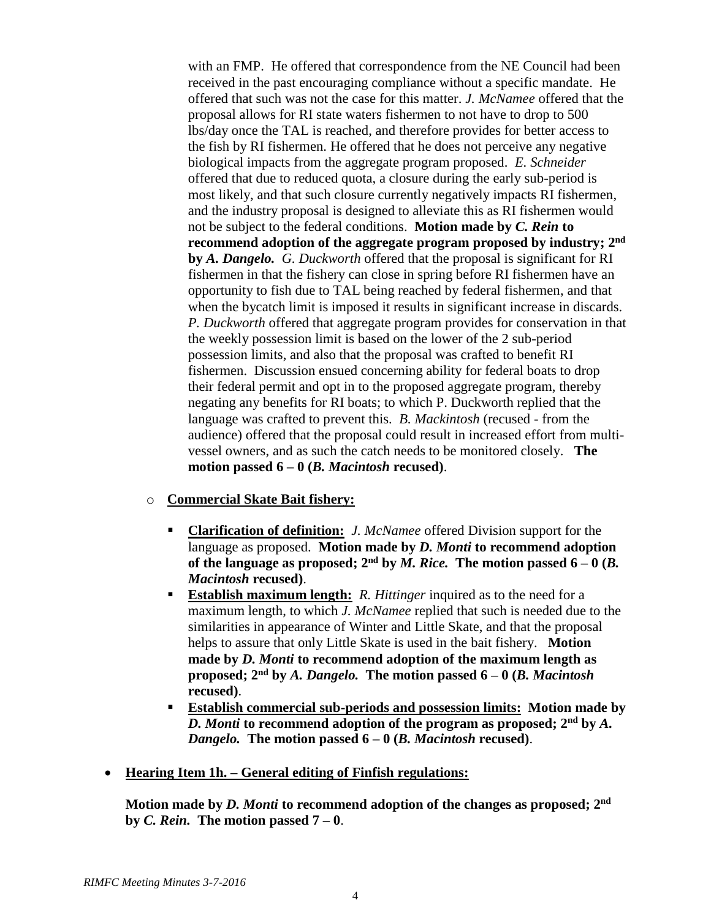with an FMP. He offered that correspondence from the NE Council had been received in the past encouraging compliance without a specific mandate. He offered that such was not the case for this matter. *J. McNamee* offered that the proposal allows for RI state waters fishermen to not have to drop to 500 lbs/day once the TAL is reached, and therefore provides for better access to the fish by RI fishermen. He offered that he does not perceive any negative biological impacts from the aggregate program proposed. *E. Schneider* offered that due to reduced quota, a closure during the early sub-period is most likely, and that such closure currently negatively impacts RI fishermen, and the industry proposal is designed to alleviate this as RI fishermen would not be subject to the federal conditions. **Motion made by** *C. Rein* **to recommend adoption of the aggregate program proposed by industry; 2nd by** *A. Dangelo. G. Duckworth* offered that the proposal is significant for RI fishermen in that the fishery can close in spring before RI fishermen have an opportunity to fish due to TAL being reached by federal fishermen, and that when the bycatch limit is imposed it results in significant increase in discards. *P. Duckworth* offered that aggregate program provides for conservation in that the weekly possession limit is based on the lower of the 2 sub-period possession limits, and also that the proposal was crafted to benefit RI fishermen. Discussion ensued concerning ability for federal boats to drop their federal permit and opt in to the proposed aggregate program, thereby negating any benefits for RI boats; to which P. Duckworth replied that the language was crafted to prevent this. *B. Mackintosh* (recused - from the audience) offered that the proposal could result in increased effort from multivessel owners, and as such the catch needs to be monitored closely. **The motion passed 6 – 0 (***B. Macintosh* **recused)**.

#### o **Commercial Skate Bait fishery:**

- **Clarification of definition:** *J. McNamee* offered Division support for the language as proposed. **Motion made by** *D. Monti* **to recommend adoption**  of the language as proposed;  $2<sup>nd</sup>$  by *M. Rice.* The motion passed  $6-0$  *(B.*) *Macintosh* **recused)**.
- **Establish maximum length:** *R. Hittinger* inquired as to the need for a maximum length, to which *J. McNamee* replied that such is needed due to the similarities in appearance of Winter and Little Skate, and that the proposal helps to assure that only Little Skate is used in the bait fishery. **Motion made by** *D. Monti* **to recommend adoption of the maximum length as proposed; 2nd by** *A. Dangelo.* **The motion passed 6 – 0 (***B. Macintosh* **recused)**.
- **Establish commercial sub-periods and possession limits: Motion made by**   $\overline{D}$ . *Monti* to recommend adoption of the program as proposed;  $2<sup>nd</sup>$  by  $\overline{A}$ . *Dangelo.* **The motion passed 6 – 0 (***B. Macintosh* **recused)**.
- **Hearing Item 1h. – General editing of Finfish regulations:**

**Motion made by** *D. Monti* **to recommend adoption of the changes as proposed; 2nd by** *C. Rein.* **The motion passed 7 – 0**.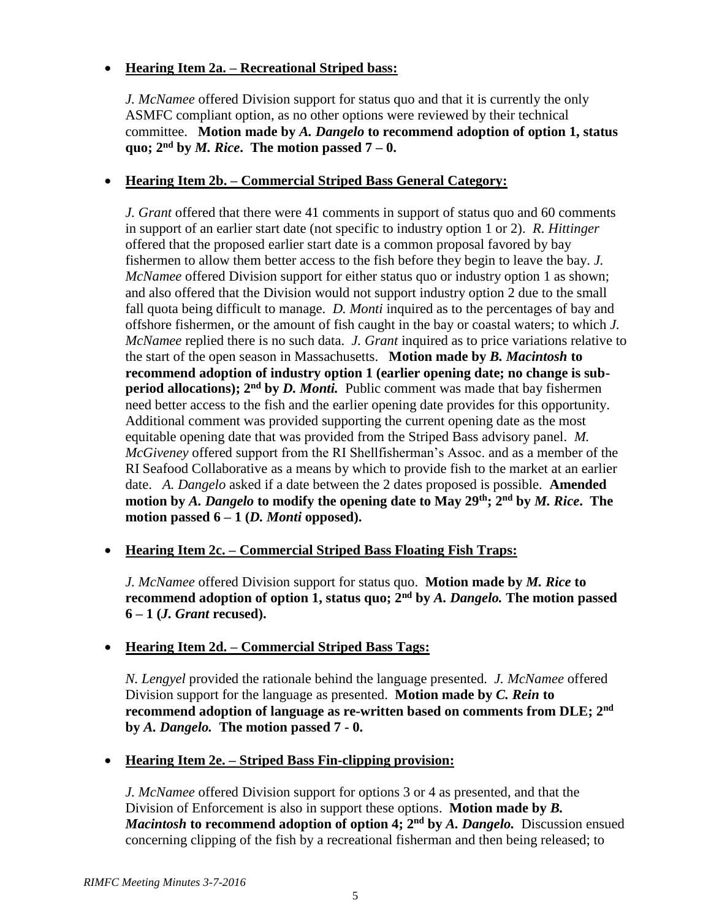# **Hearing Item 2a. – Recreational Striped bass:**

*J. McNamee* offered Division support for status quo and that it is currently the only ASMFC compliant option, as no other options were reviewed by their technical committee. **Motion made by** *A. Dangelo* **to recommend adoption of option 1, status quo;**  $2<sup>nd</sup>$  **by** *M. Rice***.** The motion passed  $7 - 0$ .

# **Hearing Item 2b. – Commercial Striped Bass General Category:**

*J. Grant* offered that there were 41 comments in support of status quo and 60 comments in support of an earlier start date (not specific to industry option 1 or 2). *R. Hittinger* offered that the proposed earlier start date is a common proposal favored by bay fishermen to allow them better access to the fish before they begin to leave the bay. *J. McNamee* offered Division support for either status quo or industry option 1 as shown; and also offered that the Division would not support industry option 2 due to the small fall quota being difficult to manage. *D. Monti* inquired as to the percentages of bay and offshore fishermen, or the amount of fish caught in the bay or coastal waters; to which *J. McNamee* replied there is no such data. *J. Grant* inquired as to price variations relative to the start of the open season in Massachusetts. **Motion made by** *B. Macintosh* **to recommend adoption of industry option 1 (earlier opening date; no change is subperiod allocations); 2nd by** *D. Monti.* Public comment was made that bay fishermen need better access to the fish and the earlier opening date provides for this opportunity. Additional comment was provided supporting the current opening date as the most equitable opening date that was provided from the Striped Bass advisory panel. *M. McGiveney* offered support from the RI Shellfisherman's Assoc. and as a member of the RI Seafood Collaborative as a means by which to provide fish to the market at an earlier date. *A. Dangelo* asked if a date between the 2 dates proposed is possible. **Amended motion by** *A. Dangelo* **to modify the opening date to May 29th; 2nd by** *M. Rice***. The motion passed 6 – 1 (***D. Monti* **opposed).**

### **Hearing Item 2c. – Commercial Striped Bass Floating Fish Traps:**

*J. McNamee* offered Division support for status quo. **Motion made by** *M. Rice* **to recommend adoption of option 1, status quo; 2nd by** *A. Dangelo.* **The motion passed 6 – 1 (***J. Grant* **recused).**

### **Hearing Item 2d. – Commercial Striped Bass Tags:**

*N. Lengyel* provided the rationale behind the language presented. *J. McNamee* offered Division support for the language as presented. **Motion made by** *C. Rein* **to recommend adoption of language as re-written based on comments from DLE; 2nd by** *A. Dangelo.* **The motion passed 7 - 0.**

### **Hearing Item 2e. – Striped Bass Fin-clipping provision:**

*J. McNamee* offered Division support for options 3 or 4 as presented, and that the Division of Enforcement is also in support these options. **Motion made by** *B. Macintosh* **to recommend adoption of option 4; 2nd by** *A. Dangelo.*Discussion ensued concerning clipping of the fish by a recreational fisherman and then being released; to